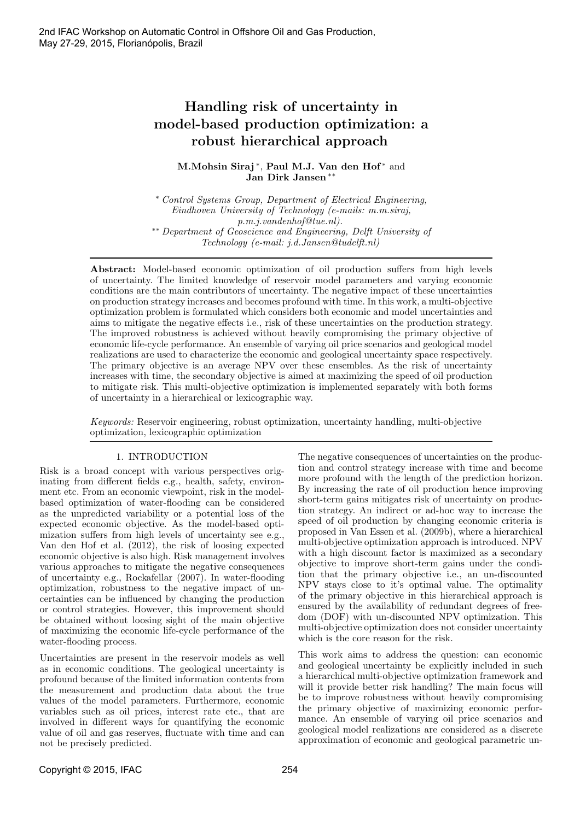# Handling risk of uncertainty in model-based production optimization: a robust hierarchical approach

M.Mohsin Siraj<sup>\*</sup>, Paul M.J. Van den Hof<sup>\*</sup> and Jan Dirk Jansen ∗∗

<sup>∗</sup> Control Systems Group, Department of Electrical Engineering, Eindhoven University of Technology (e-mails: m.m.siraj, p.m.j.vandenhof@tue.nl). ∗∗ Department of Geoscience and Engineering, Delft University of Technology (e-mail: j.d.Jansen@tudelft.nl)

Abstract: Model-based economic optimization of oil production suffers from high levels of uncertainty. The limited knowledge of reservoir model parameters and varying economic conditions are the main contributors of uncertainty. The negative impact of these uncertainties on production strategy increases and becomes profound with time. In this work, a multi-objective optimization problem is formulated which considers both economic and model uncertainties and aims to mitigate the negative effects i.e., risk of these uncertainties on the production strategy. The improved robustness is achieved without heavily compromising the primary objective of economic life-cycle performance. An ensemble of varying oil price scenarios and geological model realizations are used to characterize the economic and geological uncertainty space respectively. The primary objective is an average NPV over these ensembles. As the risk of uncertainty increases with time, the secondary objective is aimed at maximizing the speed of oil production to mitigate risk. This multi-objective optimization is implemented separately with both forms of uncertainty in a hierarchical or lexicographic way.

Keywords: Reservoir engineering, robust optimization, uncertainty handling, multi-objective optimization, lexicographic optimization

## 1. INTRODUCTION

Risk is a broad concept with various perspectives originating from different fields e.g., health, safety, environment etc. From an economic viewpoint, risk in the modelbased optimization of water-flooding can be considered as the unpredicted variability or a potential loss of the expected economic objective. As the model-based optimization suffers from high levels of uncertainty see e.g., Van den Hof et al. (2012), the risk of loosing expected economic objective is also high. Risk management involves various approaches to mitigate the negative consequences of uncertainty e.g., Rockafellar (2007). In water-flooding optimization, robustness to the negative impact of uncertainties can be influenced by changing the production or control strategies. However, this improvement should be obtained without loosing sight of the main objective of maximizing the economic life-cycle performance of the water-flooding process.

Uncertainties are present in the reservoir models as well as in economic conditions. The geological uncertainty is profound because of the limited information contents from the measurement and production data about the true values of the model parameters. Furthermore, economic variables such as oil prices, interest rate etc., that are involved in different ways for quantifying the economic value of oil and gas reserves, fluctuate with time and can not be precisely predicted.

The negative consequences of uncertainties on the production and control strategy increase with time and become more profound with the length of the prediction horizon. By increasing the rate of oil production hence improving short-term gains mitigates risk of uncertainty on production strategy. An indirect or ad-hoc way to increase the speed of oil production by changing economic criteria is proposed in Van Essen et al. (2009b), where a hierarchical multi-objective optimization approach is introduced. NPV with a high discount factor is maximized as a secondary objective to improve short-term gains under the condition that the primary objective i.e., an un-discounted NPV stays close to it's optimal value. The optimality of the primary objective in this hierarchical approach is ensured by the availability of redundant degrees of freedom (DOF) with un-discounted NPV optimization. This multi-objective optimization does not consider uncertainty which is the core reason for the risk.

This work aims to address the question: can economic and geological uncertainty be explicitly included in such a hierarchical multi-objective optimization framework and will it provide better risk handling? The main focus will be to improve robustness without heavily compromising the primary objective of maximizing economic performance. An ensemble of varying oil price scenarios and geological model realizations are considered as a discrete approximation of economic and geological parametric un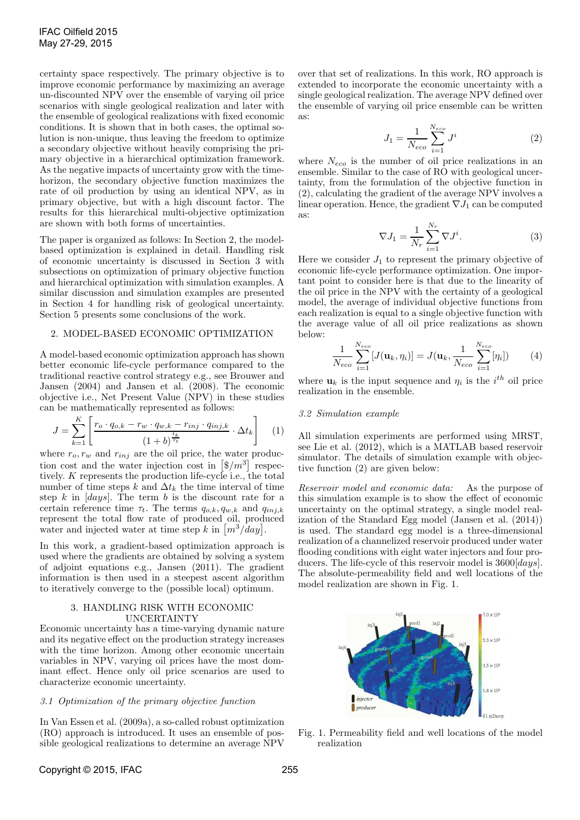certainty space respectively. The primary objective is to improve economic performance by maximizing an average un-discounted NPV over the ensemble of varying oil price scenarios with single geological realization and later with the ensemble of geological realizations with fixed economic conditions. It is shown that in both cases, the optimal solution is non-unique, thus leaving the freedom to optimize a secondary objective without heavily comprising the primary objective in a hierarchical optimization framework. As the negative impacts of uncertainty grow with the timehorizon, the secondary objective function maximizes the rate of oil production by using an identical NPV, as in primary objective, but with a high discount factor. The results for this hierarchical multi-objective optimization are shown with both forms of uncertainties.

The paper is organized as follows: In Section 2, the modelbased optimization is explained in detail. Handling risk of economic uncertainty is discussed in Section 3 with subsections on optimization of primary objective function and hierarchical optimization with simulation examples. A similar discussion and simulation examples are presented in Section 4 for handling risk of geological uncertainty. Section 5 presents some conclusions of the work.

#### 2. MODEL-BASED ECONOMIC OPTIMIZATION

A model-based economic optimization approach has shown better economic life-cycle performance compared to the traditional reactive control strategy e.g., see Brouwer and Jansen (2004) and Jansen et al. (2008). The economic objective i.e., Net Present Value (NPV) in these studies can be mathematically represented as follows:

$$
J = \sum_{k=1}^{K} \left[ \frac{r_o \cdot q_{o,k} - r_w \cdot q_{w,k} - r_{inj} \cdot q_{inj,k}}{(1+b)^{\frac{t_k}{\tau_t}}} \cdot \Delta t_k \right] \quad (1)
$$

where  $r_o, r_w$  and  $r_{inj}$  are the oil price, the water production cost and the water injection cost in  $\left[\frac{6}{m^3}\right]$  respectively. K represents the production life-cycle i.e., the total number of time steps k and  $\Delta t_k$  the time interval of time step k in  $[days]$ . The term b is the discount rate for a certain reference time  $\tau_t$ . The terms  $q_{o,k}, q_{w,k}$  and  $q_{inj,k}$ represent the total flow rate of produced oil, produced water and injected water at time step k in  $\left[m^3/\frac{day}{} \right]$ .

In this work, a gradient-based optimization approach is used where the gradients are obtained by solving a system of adjoint equations e.g., Jansen (2011). The gradient information is then used in a steepest ascent algorithm to iteratively converge to the (possible local) optimum.

#### 3. HANDLING RISK WITH ECONOMIC UNCERTAINTY

Economic uncertainty has a time-varying dynamic nature and its negative effect on the production strategy increases with the time horizon. Among other economic uncertain variables in NPV, varying oil prices have the most dominant effect. Hence only oil price scenarios are used to characterize economic uncertainty.

#### 3.1 Optimization of the primary objective function

In Van Essen et al. (2009a), a so-called robust optimization (RO) approach is introduced. It uses an ensemble of possible geological realizations to determine an average NPV

over that set of realizations. In this work, RO approach is extended to incorporate the economic uncertainty with a single geological realization. The average NPV defined over the ensemble of varying oil price ensemble can be written as:

$$
J_1 = \frac{1}{N_{eco}} \sum_{i=1}^{N_{eco}} J^i
$$
 (2)

where  $N_{eco}$  is the number of oil price realizations in an ensemble. Similar to the case of RO with geological uncertainty, from the formulation of the objective function in (2), calculating the gradient of the average NPV involves a linear operation. Hence, the gradient  $\nabla J_1$  can be computed as:

$$
\nabla J_1 = \frac{1}{N_r} \sum_{i=1}^{N_r} \nabla J^i.
$$
 (3)

Here we consider  $J_1$  to represent the primary objective of economic life-cycle performance optimization. One important point to consider here is that due to the linearity of the oil price in the NPV with the certainty of a geological model, the average of individual objective functions from each realization is equal to a single objective function with the average value of all oil price realizations as shown below:

$$
\frac{1}{N_{eco}}\sum_{i=1}^{N_{eco}}[J(\mathbf{u}_k,\eta_i)] = J(\mathbf{u}_k,\frac{1}{N_{eco}}\sum_{i=1}^{N_{eco}}[\eta_i])
$$
(4)

where  $\mathbf{u}_k$  is the input sequence and  $\eta_i$  is the  $i^{th}$  oil price realization in the ensemble.

#### 3.2 Simulation example

All simulation experiments are performed using MRST, see Lie et al. (2012), which is a MATLAB based reservoir simulator. The details of simulation example with objective function (2) are given below:

Reservoir model and economic data: As the purpose of this simulation example is to show the effect of economic uncertainty on the optimal strategy, a single model realization of the Standard Egg model (Jansen et al. (2014)) is used. The standard egg model is a three-dimensional realization of a channelized reservoir produced under water flooding conditions with eight water injectors and four producers. The life-cycle of this reservoir model is  $3600 [days]$ . The absolute-permeability field and well locations of the model realization are shown in Fig. 1.



Fig. 1. Permeability field and well locations of the model realization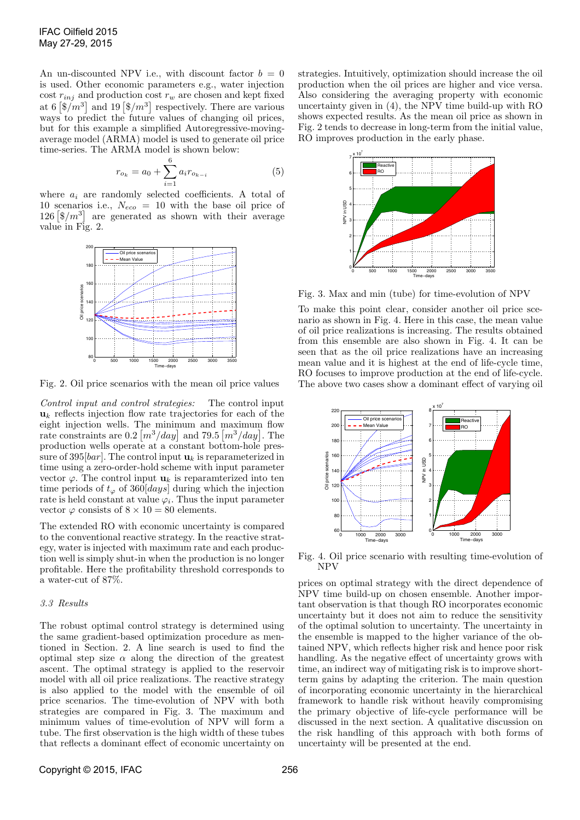An un-discounted NPV i.e., with discount factor  $b = 0$ is used. Other economic parameters e.g., water injection cost  $r_{inj}$  and production cost  $r_w$  are chosen and kept fixed at 6  $\left[\frac{6}{m^3}\right]$  and 19  $\left[\frac{6}{m^3}\right]$  respectively. There are various ways to predict the future values of changing oil prices, but for this example a simplified Autoregressive-movingaverage model (ARMA) model is used to generate oil price time-series. The ARMA model is shown below:

$$
r_{o_k} = a_0 + \sum_{i=1}^{6} a_i r_{o_{k-i}}
$$
 (5)

where  $a_i$  are randomly selected coefficients. A total of 10 scenarios i.e.,  $N_{eco} = 10$  with the base oil price of  $126 \left[ \frac{1}{3} / m^3 \right]$  are generated as shown with their average value in Fig. 2.



Fig. 2. Oil price scenarios with the mean oil price values

Control input and control strategies: The control input  $u_k$  reflects injection flow rate trajectories for each of the eight injection wells. The minimum and maximum flow rate constraints are  $0.2 \left[ \frac{m^3}{day} \right]$  and  $79.5 \left[ \frac{m^3}{day} \right]$ . The production wells operate at a constant bottom-hole pressure of 395[*bar*]. The control input  $\mathbf{u}_k$  is reparameterized in time using a zero-order-hold scheme with input parameter vector  $\varphi$ . The control input  $\mathbf{u}_k$  is reparamterized into ten time periods of  $t_{\varphi}$  of 360[*days*] during which the injection rate is held constant at value  $\varphi_i$ . Thus the input parameter vector  $\varphi$  consists of  $8 \times 10 = 80$  elements.

The extended RO with economic uncertainty is compared to the conventional reactive strategy. In the reactive strategy, water is injected with maximum rate and each production well is simply shut-in when the production is no longer profitable. Here the profitability threshold corresponds to a water-cut of 87%.

## 3.3 Results

The robust optimal control strategy is determined using the same gradient-based optimization procedure as mentioned in Section. 2. A line search is used to find the optimal step size  $\alpha$  along the direction of the greatest ascent. The optimal strategy is applied to the reservoir model with all oil price realizations. The reactive strategy is also applied to the model with the ensemble of oil price scenarios. The time-evolution of NPV with both strategies are compared in Fig. 3. The maximum and minimum values of time-evolution of NPV will form a tube. The first observation is the high width of these tubes that reflects a dominant effect of economic uncertainty on

strategies. Intuitively, optimization should increase the oil production when the oil prices are higher and vice versa. Also considering the averaging property with economic uncertainty given in (4), the NPV time build-up with RO shows expected results. As the mean oil price as shown in Fig. 2 tends to decrease in long-term from the initial value, RO improves production in the early phase.



Fig. 3. Max and min (tube) for time-evolution of NPV

To make this point clear, consider another oil price scenario as shown in Fig. 4. Here in this case, the mean value of oil price realizations is increasing. The results obtained from this ensemble are also shown in Fig. 4. It can be seen that as the oil price realizations have an increasing mean value and it is highest at the end of life-cycle time, RO focuses to improve production at the end of life-cycle. The above two cases show a dominant effect of varying oil



Fig. 4. Oil price scenario with resulting time-evolution of NPV

prices on optimal strategy with the direct dependence of NPV time build-up on chosen ensemble. Another important observation is that though RO incorporates economic uncertainty but it does not aim to reduce the sensitivity of the optimal solution to uncertainty. The uncertainty in the ensemble is mapped to the higher variance of the obtained NPV, which reflects higher risk and hence poor risk handling. As the negative effect of uncertainty grows with time, an indirect way of mitigating risk is to improve shortterm gains by adapting the criterion. The main question of incorporating economic uncertainty in the hierarchical framework to handle risk without heavily compromising the primary objective of life-cycle performance will be discussed in the next section. A qualitative discussion on the risk handling of this approach with both forms of uncertainty will be presented at the end.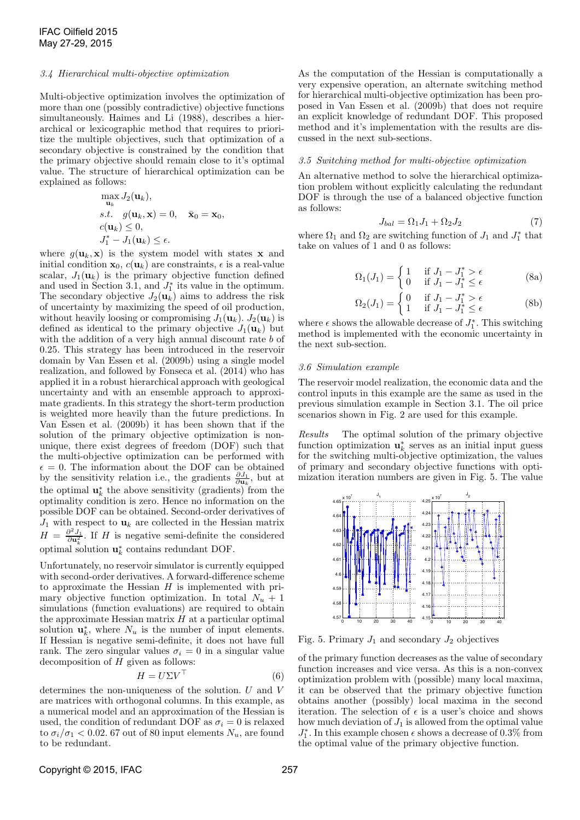#### 3.4 Hierarchical multi-objective optimization

Multi-objective optimization involves the optimization of more than one (possibly contradictive) objective functions simultaneously. Haimes and Li (1988), describes a hierarchical or lexicographic method that requires to prioritize the multiple objectives, such that optimization of a secondary objective is constrained by the condition that the primary objective should remain close to it's optimal value. The structure of hierarchical optimization can be explained as follows:

$$
\max_{\mathbf{u}_k} J_2(\mathbf{u}_k),
$$
  
s.t.  $g(\mathbf{u}_k, \mathbf{x}) = 0, \quad \bar{\mathbf{x}}_0 = \mathbf{x}_0,$   
 $c(\mathbf{u}_k) \le 0,$   
 $J_1^* - J_1(\mathbf{u}_k) \le \epsilon.$ 

where  $g(\mathbf{u}_k, \mathbf{x})$  is the system model with states **x** and initial condition  $\mathbf{x}_0$ ,  $c(\mathbf{u}_k)$  are constraints,  $\epsilon$  is a real-value scalar,  $J_1(\mathbf{u}_k)$  is the primary objective function defined and used in Section 3.1, and  $J_1^*$  its value in the optimum. The secondary objective  $J_2(\mathbf{u}_k)$  aims to address the risk of uncertainty by maximizing the speed of oil production, without heavily loosing or compromising  $J_1(\mathbf{u}_k)$ .  $J_2(\mathbf{u}_k)$  is defined as identical to the primary objective  $J_1(\mathbf{u}_k)$  but with the addition of a very high annual discount rate b of 0.25. This strategy has been introduced in the reservoir domain by Van Essen et al. (2009b) using a single model realization, and followed by Fonseca et al. (2014) who has applied it in a robust hierarchical approach with geological uncertainty and with an ensemble approach to approximate gradients. In this strategy the short-term production is weighted more heavily than the future predictions. In Van Essen et al. (2009b) it has been shown that if the solution of the primary objective optimization is nonunique, there exist degrees of freedom (DOF) such that the multi-objective optimization can be performed with  $\epsilon = 0$ . The information about the DOF can be obtained by the sensitivity relation i.e., the gradients  $\frac{\partial J_1}{\partial \mathbf{u}_k}$ , but at the optimal  $\mathbf{u}_k^*$  the above sensitivity (gradients) from the optimality condition is zero. Hence no information on the possible DOF can be obtained. Second-order derivatives of  $J_1$  with respect to  $\mathbf{u}_k$  are collected in the Hessian matrix  $H = \frac{\partial^2 J_1}{\partial u_k^2}$ . If H is negative semi-definite the considered optimal solution  $\mathbf{u}_k^*$  $\frac{k}{k}$  contains redundant DOF.

Unfortunately, no reservoir simulator is currently equipped with second-order derivatives. A forward-difference scheme to approximate the Hessian  $H$  is implemented with primary objective function optimization. In total  $N_u + 1$ simulations (function evaluations) are required to obtain the approximate Hessian matrix  $H$  at a particular optimal solution  $\mathbf{u}_k^*$  $\chi^*_{k}$ , where  $N_u$  is the number of input elements. If Hessian is negative semi-definite, it does not have full rank. The zero singular values  $\sigma_i = 0$  in a singular value decomposition of  $H$  given as follows:

$$
H = U\Sigma V^{\top} \tag{6}
$$

determines the non-uniqueness of the solution. U and V are matrices with orthogonal columns. In this example, as a numerical model and an approximation of the Hessian is used, the condition of redundant DOF as  $\sigma_i = 0$  is relaxed to  $\sigma_i/\sigma_1 < 0.02$ . 67 out of 80 input elements  $N_u$ , are found to be redundant.

As the computation of the Hessian is computationally a very expensive operation, an alternate switching method for hierarchical multi-objective optimization has been proposed in Van Essen et al. (2009b) that does not require an explicit knowledge of redundant DOF. This proposed method and it's implementation with the results are discussed in the next sub-sections.

#### 3.5 Switching method for multi-objective optimization

An alternative method to solve the hierarchical optimization problem without explicitly calculating the redundant DOF is through the use of a balanced objective function as follows:

$$
J_{bal} = \Omega_1 J_1 + \Omega_2 J_2 \tag{7}
$$

where  $\Omega_1$  and  $\Omega_2$  are switching function of  $J_1$  and  $J_1^*$  that take on values of 1 and 0 as follows:

$$
\Omega_1(J_1) = \begin{cases} 1 & \text{if } J_1 - J_1^* > \epsilon \\ 0 & \text{if } J_1 - J_1^* \le \epsilon \end{cases}
$$
 (8a)

$$
\Omega_2(J_1) = \begin{cases} 0 & \text{if } J_1 - J_1^* > \epsilon \\ 1 & \text{if } J_1 - J_1^* \le \epsilon \end{cases}
$$
 (8b)

where  $\epsilon$  shows the allowable decrease of  $J_1^*$ . This switching method is implemented with the economic uncertainty in the next sub-section.

### 3.6 Simulation example

The reservoir model realization, the economic data and the control inputs in this example are the same as used in the previous simulation example in Section 3.1. The oil price scenarios shown in Fig. 2 are used for this example.

Results The optimal solution of the primary objective function optimization  $\mathbf{u}_k^*$  $\frac{k}{k}$  serves as an initial input guess for the switching multi-objective optimization, the values of primary and secondary objective functions with optimization iteration numbers are given in Fig. 5. The value



Fig. 5. Primary  $J_1$  and secondary  $J_2$  objectives

of the primary function decreases as the value of secondary function increases and vice versa. As this is a non-convex optimization problem with (possible) many local maxima, it can be observed that the primary objective function obtains another (possibly) local maxima in the second iteration. The selection of  $\epsilon$  is a user's choice and shows how much deviation of  $J_1$  is allowed from the optimal value  $J_1^*$ . In this example chosen  $\epsilon$  shows a decrease of 0.3% from the optimal value of the primary objective function.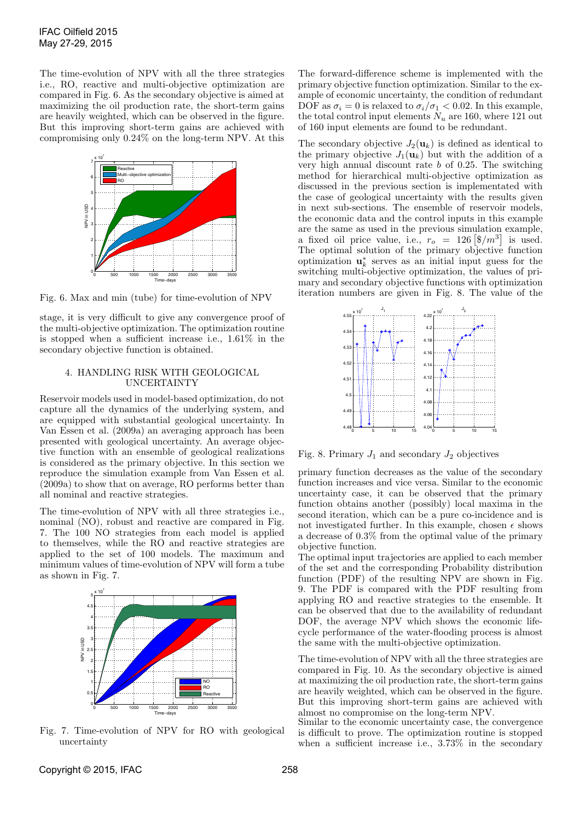The time-evolution of NPV with all the three strategies i.e., RO, reactive and multi-objective optimization are compared in Fig. 6. As the secondary objective is aimed at maximizing the oil production rate, the short-term gains are heavily weighted, which can be observed in the figure. But this improving short-term gains are achieved with compromising only 0.24% on the long-term NPV. At this



Fig. 6. Max and min (tube) for time-evolution of NPV

stage, it is very difficult to give any convergence proof of the multi-objective optimization. The optimization routine is stopped when a sufficient increase i.e., 1.61% in the secondary objective function is obtained.

## 4. HANDLING RISK WITH GEOLOGICAL UNCERTAINTY

Reservoir models used in model-based optimization, do not capture all the dynamics of the underlying system, and are equipped with substantial geological uncertainty. In Van Essen et al. (2009a) an averaging approach has been presented with geological uncertainty. An average objective function with an ensemble of geological realizations is considered as the primary objective. In this section we reproduce the simulation example from Van Essen et al. (2009a) to show that on average, RO performs better than all nominal and reactive strategies.

The time-evolution of NPV with all three strategies i.e., nominal (NO), robust and reactive are compared in Fig. 7. The 100 NO strategies from each model is applied to themselves, while the RO and reactive strategies are applied to the set of 100 models. The maximum and minimum values of time-evolution of NPV will form a tube as shown in Fig. 7.



Fig. 7. Time-evolution of NPV for RO with geological uncertainty

The forward-difference scheme is implemented with the primary objective function optimization. Similar to the example of economic uncertainty, the condition of redundant DOF as  $\sigma_i = 0$  is relaxed to  $\sigma_i/\sigma_1 < 0.02$ . In this example, the total control input elements  $N_u$  are 160, where 121 out of 160 input elements are found to be redundant.

The secondary objective  $J_2(\mathbf{u}_k)$  is defined as identical to the primary objective  $J_1(\mathbf{u}_k)$  but with the addition of a very high annual discount rate  $b$  of 0.25. The switching method for hierarchical multi-objective optimization as discussed in the previous section is implementated with the case of geological uncertainty with the results given in next sub-sections. The ensemble of reservoir models, the economic data and the control inputs in this example are the same as used in the previous simulation example, a fixed oil price value, i.e.,  $r_o = 126 \left[ \frac{6}{m^3} \right]$  is used. The optimal solution of the primary objective function optimization  $\mathbf{u}_k^*$  $\stackrel{*}{\phantom{*}}_k$  serves as an initial input guess for the switching multi-objective optimization, the values of primary and secondary objective functions with optimization iteration numbers are given in Fig. 8. The value of the



Fig. 8. Primary  $J_1$  and secondary  $J_2$  objectives

primary function decreases as the value of the secondary function increases and vice versa. Similar to the economic uncertainty case, it can be observed that the primary function obtains another (possibly) local maxima in the second iteration, which can be a pure co-incidence and is not investigated further. In this example, chosen  $\epsilon$  shows a decrease of 0.3% from the optimal value of the primary objective function.

The optimal input trajectories are applied to each member of the set and the corresponding Probability distribution function (PDF) of the resulting NPV are shown in Fig. 9. The PDF is compared with the PDF resulting from applying RO and reactive strategies to the ensemble. It can be observed that due to the availability of redundant DOF, the average NPV which shows the economic lifecycle performance of the water-flooding process is almost the same with the multi-objective optimization.

The time-evolution of NPV with all the three strategies are compared in Fig. 10. As the secondary objective is aimed at maximizing the oil production rate, the short-term gains are heavily weighted, which can be observed in the figure. But this improving short-term gains are achieved with almost no compromise on the long-term NPV.

Similar to the economic uncertainty case, the convergence is difficult to prove. The optimization routine is stopped when a sufficient increase i.e., 3.73% in the secondary